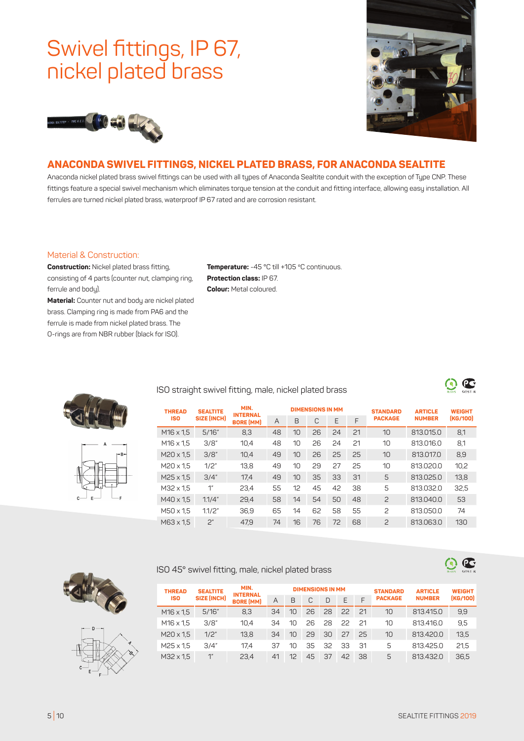# Swivel fittings, IP 67, nickel plated brass





## **ANACONDA SWIVEL FITTINGS, NICKEL PLATED BRASS, FOR ANACONDA SEALTITE**

Anaconda nickel plated brass swivel fittings can be used with all types of Anaconda Sealtite conduit with the exception of Type CNP. These fittings feature a special swivel mechanism which eliminates torque tension at the conduit and fitting interface, allowing easy installation. All ferrules are turned nickel plated brass, waterproof IP 67 rated and are corrosion resistant.

#### Material & Construction:

**Construction:** Nickel plated brass fitting, consisting of 4 parts (counter nut, clamping ring, ferrule and bodu).

**Material:** Counter nut and body are nickel plated brass. Clamping ring is made from PA6 and the ferrule is made from nickel plated brass. The O-rings are from NBR rubber (black for ISO).

**Temperature:** -45 °C till +105 ºC continuous. **Protection class:** IP 67. **Colour:** Metal coloured.





### ISO straight swivel fitting, male, nickel plated brass

| <b>THREAD</b>    | <b>SEALTITE</b><br><b>SIZE (INCH)</b> | MIN.<br><b>INTERNAL</b><br><b>BORE (MM)</b> |    |    | <b>DIMENSIONS IN MM</b> |    |    | <b>STANDARD</b><br><b>PACKAGE</b> | <b>ARTICLE</b><br><b>NUMBER</b> | <b>WEIGHT</b><br>(KG/100) |
|------------------|---------------------------------------|---------------------------------------------|----|----|-------------------------|----|----|-----------------------------------|---------------------------------|---------------------------|
| <b>ISO</b>       |                                       |                                             | A  | B  | C                       | E  | F  |                                   |                                 |                           |
| $M16 \times 1.5$ | 5/16''                                | 8,3                                         | 48 | 10 | 26                      | 24 | 21 | 10                                | 813.015.0                       | 8,1                       |
| $M16 \times 1.5$ | 3/8"                                  | 10,4                                        | 48 | 10 | 26                      | 24 | 21 | 10                                | 813.016.0                       | 8,1                       |
| $M20 \times 1.5$ | 3/8"                                  | 10,4                                        | 49 | 10 | 26                      | 25 | 25 | 10                                | 813,017,0                       | 8,9                       |
| M20 x 1.5        | 1/2"                                  | 13,8                                        | 49 | 10 | 29                      | 27 | 25 | 10                                | 813.020.0                       | 10,2                      |
| $M25 \times 1.5$ | 3/4"                                  | 17,4                                        | 49 | 10 | 35                      | 33 | 31 | 5                                 | 813.025.0                       | 13,8                      |
| M32 x 1.5        | $1$ "                                 | 23,4                                        | 55 | 12 | 45                      | 42 | 38 | 5                                 | 813.032.0                       | 32,5                      |
| M40 x 1.5        | 1.1/4"                                | 29,4                                        | 58 | 14 | 54                      | 50 | 48 | $\overline{c}$                    | 813,040,0                       | 53                        |
| M50 x 1.5        | 1.1/2"                                | 36,9                                        | 65 | 14 | 62                      | 58 | 55 | $\overline{c}$                    | 813.050.0                       | 74                        |
| M63 x 1.5        | 2"                                    | 47,9                                        | 74 | 16 | 76                      | 72 | 68 | $\overline{c}$                    | 813.063.0                       | 130                       |

#### ISO 45° swivel fitting, male, nickel plated brass



 $\mathbf{\Theta}$  G

 $\mathbf{C}$